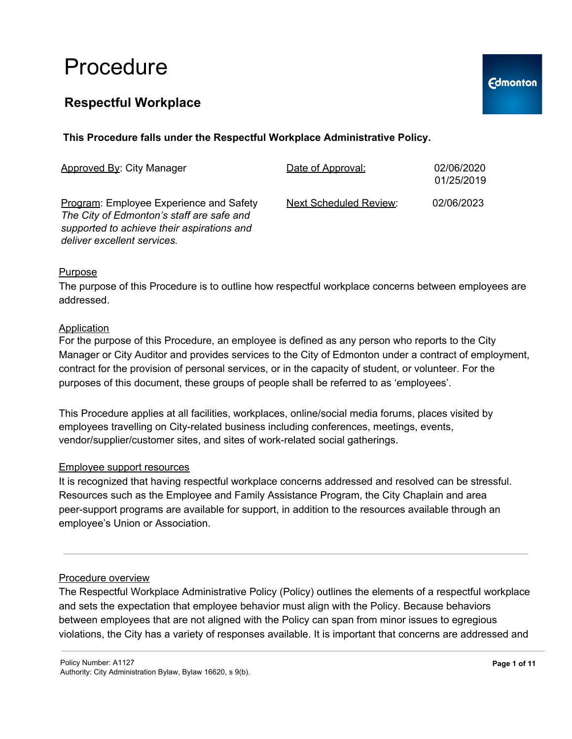### **Respectful Workplace**

| Approved By: City Manager                                                                                                                                         | Date of Approval:             | 02/06/2020<br>01/25/2019 |
|-------------------------------------------------------------------------------------------------------------------------------------------------------------------|-------------------------------|--------------------------|
| Program: Employee Experience and Safety<br>The City of Edmonton's staff are safe and<br>supported to achieve their aspirations and<br>deliver excellent services. | <b>Next Scheduled Review:</b> | 02/06/2023               |

#### Purpose

The purpose of this Procedure is to outline how respectful workplace concerns between employees are addressed.

#### **Application**

For the purpose of this Procedure, an employee is defined as any person who reports to the City Manager or City Auditor and provides services to the City of Edmonton under a contract of employment, contract for the provision of personal services, or in the capacity of student, or volunteer. For the purposes of this document, these groups of people shall be referred to as 'employees'.

This Procedure applies at all facilities, workplaces, online/social media forums, places visited by employees travelling on City-related business including conferences, meetings, events, vendor/supplier/customer sites, and sites of work-related social gatherings.

#### Employee support resources

It is recognized that having respectful workplace concerns addressed and resolved can be stressful. Resources such as the Employee and Family Assistance Program, the City Chaplain and area peer-support programs are available for support, in addition to the resources available through an employee's Union or Association.

#### Procedure overview

The Respectful Workplace Administrative Policy (Policy) outlines the elements of a respectful workplace and sets the expectation that employee behavior must align with the Policy. Because behaviors between employees that are not aligned with the Policy can span from minor issues to egregious violations, the City has a variety of responses available. It is important that concerns are addressed and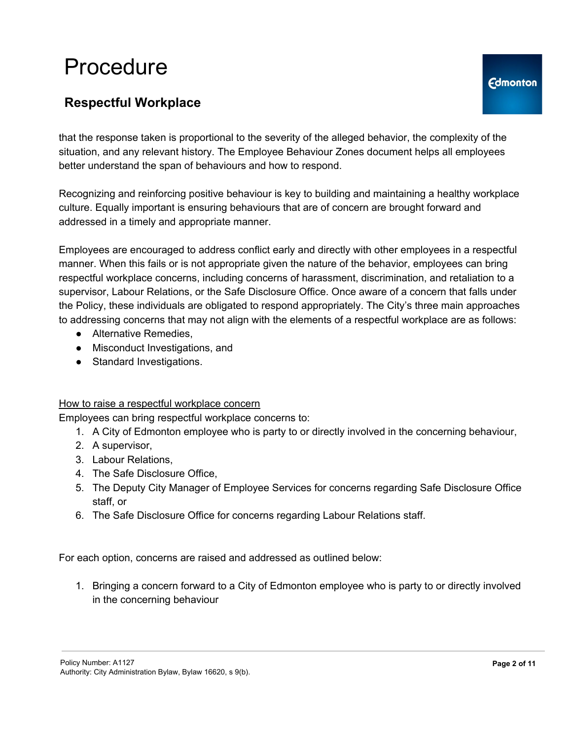## **Respectful Workplace**

that the response taken is proportional to the severity of the alleged behavior, the complexity of the situation, and any relevant history. The Employee Behaviour Zones document helps all employees better understand the span of behaviours and how to respond.

Recognizing and reinforcing positive behaviour is key to building and maintaining a healthy workplace culture. Equally important is ensuring behaviours that are of concern are brought forward and addressed in a timely and appropriate manner.

Employees are encouraged to address conflict early and directly with other employees in a respectful manner. When this fails or is not appropriate given the nature of the behavior, employees can bring respectful workplace concerns, including concerns of harassment, discrimination, and retaliation to a supervisor, Labour Relations, or the Safe Disclosure Office. Once aware of a concern that falls under the Policy, these individuals are obligated to respond appropriately. The City's three main approaches to addressing concerns that may not align with the elements of a respectful workplace are as follows:

- Alternative Remedies.
- Misconduct Investigations, and
- Standard Investigations.

#### How to raise a respectful workplace concern

Employees can bring respectful workplace concerns to:

- 1. A City of Edmonton employee who is party to or directly involved in the concerning behaviour,
- 2. A supervisor,
- 3. Labour Relations,
- 4. The Safe Disclosure Office,
- 5. The Deputy City Manager of Employee Services for concerns regarding Safe Disclosure Office staff, or
- 6. The Safe Disclosure Office for concerns regarding Labour Relations staff.

For each option, concerns are raised and addressed as outlined below:

1. Bringing a concern forward to a City of Edmonton employee who is party to or directly involved in the concerning behaviour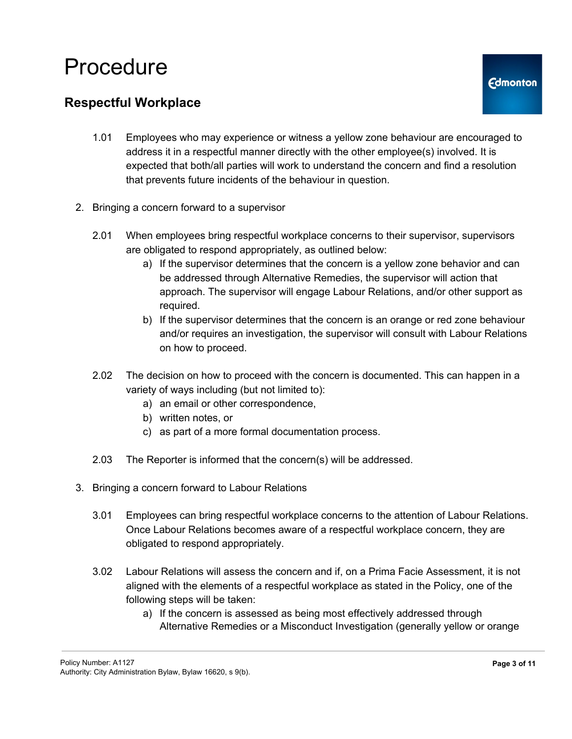### **Respectful Workplace**

- 1.01 Employees who may experience or witness a yellow zone behaviour are encouraged to address it in a respectful manner directly with the other employee(s) involved. It is expected that both/all parties will work to understand the concern and find a resolution that prevents future incidents of the behaviour in question.
- 2. Bringing a concern forward to a supervisor
	- 2.01 When employees bring respectful workplace concerns to their supervisor, supervisors are obligated to respond appropriately, as outlined below:
		- a) If the supervisor determines that the concern is a yellow zone behavior and can be addressed through Alternative Remedies, the supervisor will action that approach. The supervisor will engage Labour Relations, and/or other support as required.
		- b) If the supervisor determines that the concern is an orange or red zone behaviour and/or requires an investigation, the supervisor will consult with Labour Relations on how to proceed.
	- 2.02 The decision on how to proceed with the concern is documented. This can happen in a variety of ways including (but not limited to):
		- a) an email or other correspondence,
		- b) written notes, or
		- c) as part of a more formal documentation process.
	- 2.03 The Reporter is informed that the concern(s) will be addressed.
- 3. Bringing a concern forward to Labour Relations
	- 3.01 Employees can bring respectful workplace concerns to the attention of Labour Relations. Once Labour Relations becomes aware of a respectful workplace concern, they are obligated to respond appropriately.
	- 3.02 Labour Relations will assess the concern and if, on a Prima Facie Assessment, it is not aligned with the elements of a respectful workplace as stated in the Policy, one of the following steps will be taken:
		- a) If the concern is assessed as being most effectively addressed through Alternative Remedies or a Misconduct Investigation (generally yellow or orange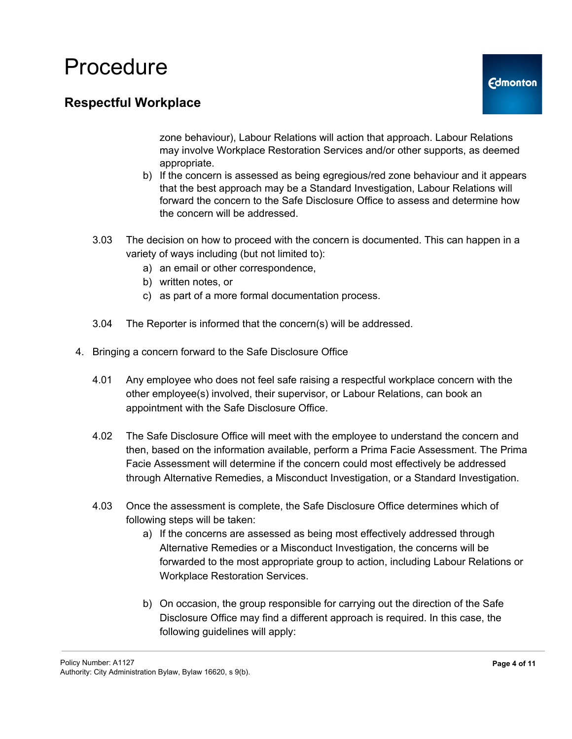### **Respectful Workplace**

zone behaviour), Labour Relations will action that approach. Labour Relations may involve Workplace Restoration Services and/or other supports, as deemed appropriate.

- b) If the concern is assessed as being egregious/red zone behaviour and it appears that the best approach may be a Standard Investigation, Labour Relations will forward the concern to the Safe Disclosure Office to assess and determine how the concern will be addressed.
- 3.03 The decision on how to proceed with the concern is documented. This can happen in a variety of ways including (but not limited to):
	- a) an email or other correspondence,
	- b) written notes, or
	- c) as part of a more formal documentation process.
- 3.04 The Reporter is informed that the concern(s) will be addressed.
- 4. Bringing a concern forward to the Safe Disclosure Office
	- 4.01 Any employee who does not feel safe raising a respectful workplace concern with the other employee(s) involved, their supervisor, or Labour Relations, can book an appointment with the Safe Disclosure Office.
	- 4.02 The Safe Disclosure Office will meet with the employee to understand the concern and then, based on the information available, perform a Prima Facie Assessment. The Prima Facie Assessment will determine if the concern could most effectively be addressed through Alternative Remedies, a Misconduct Investigation, or a Standard Investigation.
	- 4.03 Once the assessment is complete, the Safe Disclosure Office determines which of following steps will be taken:
		- a) If the concerns are assessed as being most effectively addressed through Alternative Remedies or a Misconduct Investigation, the concerns will be forwarded to the most appropriate group to action, including Labour Relations or Workplace Restoration Services.
		- b) On occasion, the group responsible for carrying out the direction of the Safe Disclosure Office may find a different approach is required. In this case, the following guidelines will apply: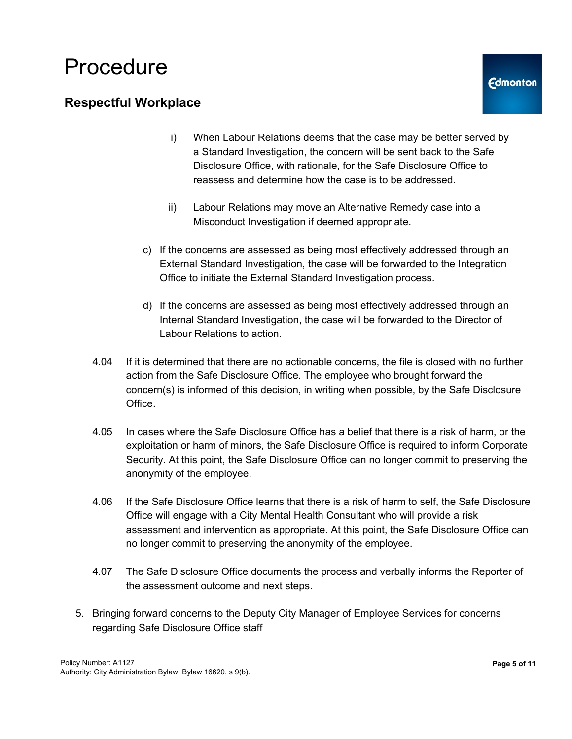### **Respectful Workplace**

- i) When Labour Relations deems that the case may be better served by a Standard Investigation, the concern will be sent back to the Safe Disclosure Office, with rationale, for the Safe Disclosure Office to reassess and determine how the case is to be addressed.
- ii) Labour Relations may move an Alternative Remedy case into a Misconduct Investigation if deemed appropriate.
- c) If the concerns are assessed as being most effectively addressed through an External Standard Investigation, the case will be forwarded to the Integration Office to initiate the External Standard Investigation process.
- d) If the concerns are assessed as being most effectively addressed through an Internal Standard Investigation, the case will be forwarded to the Director of Labour Relations to action.
- 4.04 If it is determined that there are no actionable concerns, the file is closed with no further action from the Safe Disclosure Office. The employee who brought forward the concern(s) is informed of this decision, in writing when possible, by the Safe Disclosure Office.
- 4.05 In cases where the Safe Disclosure Office has a belief that there is a risk of harm, or the exploitation or harm of minors, the Safe Disclosure Office is required to inform Corporate Security. At this point, the Safe Disclosure Office can no longer commit to preserving the anonymity of the employee.
- 4.06 If the Safe Disclosure Office learns that there is a risk of harm to self, the Safe Disclosure Office will engage with a City Mental Health Consultant who will provide a risk assessment and intervention as appropriate. At this point, the Safe Disclosure Office can no longer commit to preserving the anonymity of the employee.
- 4.07 The Safe Disclosure Office documents the process and verbally informs the Reporter of the assessment outcome and next steps.
- 5. Bringing forward concerns to the Deputy City Manager of Employee Services for concerns regarding Safe Disclosure Office staff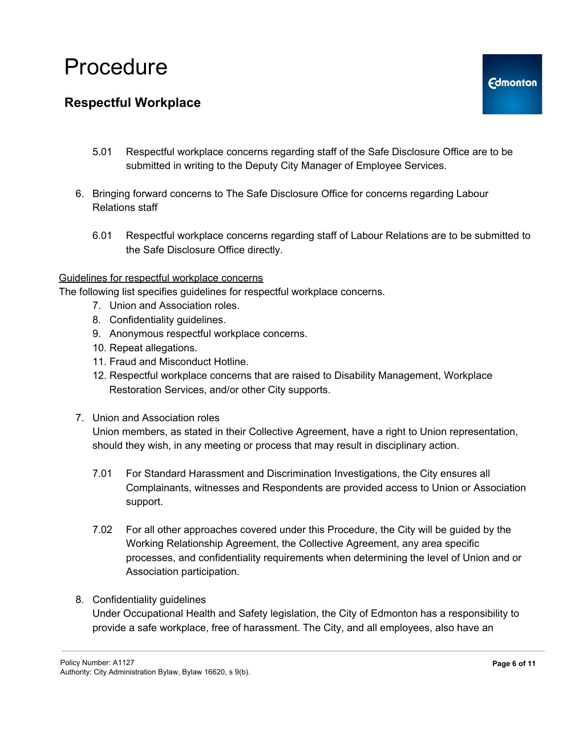### **Respectful Workplace**

- 5.01 Respectful workplace concerns regarding staff of the Safe Disclosure Office are to be submitted in writing to the Deputy City Manager of Employee Services.
- 6. Bringing forward concerns to The Safe Disclosure Office for concerns regarding Labour Relations staff
	- 6.01 Respectful workplace concerns regarding staff of Labour Relations are to be submitted to the Safe Disclosure Office directly.

#### Guidelines for respectful workplace concerns

The following list specifies guidelines for respectful workplace concerns.

- 7. Union and Association roles.
- 8. Confidentiality guidelines.
- 9. Anonymous respectful workplace concerns.
- 10. Repeat allegations.
- 11. Fraud and Misconduct Hotline.
- 12. Respectful workplace concerns that are raised to Disability Management, Workplace Restoration Services, and/or other City supports.
- 7. Union and Association roles

Union members, as stated in their Collective Agreement, have a right to Union representation, should they wish, in any meeting or process that may result in disciplinary action.

- 7.01 For Standard Harassment and Discrimination Investigations, the City ensures all Complainants, witnesses and Respondents are provided access to Union or Association support.
- 7.02 For all other approaches covered under this Procedure, the City will be guided by the Working Relationship Agreement, the Collective Agreement, any area specific processes, and confidentiality requirements when determining the level of Union and or Association participation.
- 8. Confidentiality guidelines

Under Occupational Health and Safety legislation, the City of Edmonton has a responsibility to provide a safe workplace, free of harassment. The City, and all employees, also have an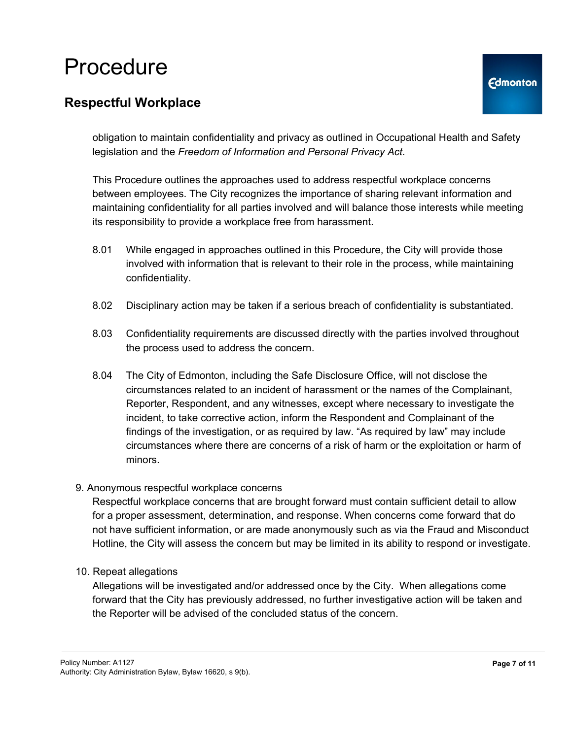### **Respectful Workplace**

obligation to maintain confidentiality and privacy as outlined in Occupational Health and Safety legislation and the *Freedom of Information and Personal Privacy Act*.

This Procedure outlines the approaches used to address respectful workplace concerns between employees. The City recognizes the importance of sharing relevant information and maintaining confidentiality for all parties involved and will balance those interests while meeting its responsibility to provide a workplace free from harassment.

- 8.01 While engaged in approaches outlined in this Procedure, the City will provide those involved with information that is relevant to their role in the process, while maintaining confidentiality.
- 8.02 Disciplinary action may be taken if a serious breach of confidentiality is substantiated.
- 8.03 Confidentiality requirements are discussed directly with the parties involved throughout the process used to address the concern.
- 8.04 The City of Edmonton, including the Safe Disclosure Office, will not disclose the circumstances related to an incident of harassment or the names of the Complainant, Reporter, Respondent, and any witnesses, except where necessary to investigate the incident, to take corrective action, inform the Respondent and Complainant of the findings of the investigation, or as required by law. "As required by law" may include circumstances where there are concerns of a risk of harm or the exploitation or harm of minors.

#### 9. Anonymous respectful workplace concerns

Respectful workplace concerns that are brought forward must contain sufficient detail to allow for a proper assessment, determination, and response. When concerns come forward that do not have sufficient information, or are made anonymously such as via the Fraud and Misconduct Hotline, the City will assess the concern but may be limited in its ability to respond or investigate.

10. Repeat allegations

Allegations will be investigated and/or addressed once by the City. When allegations come forward that the City has previously addressed, no further investigative action will be taken and the Reporter will be advised of the concluded status of the concern.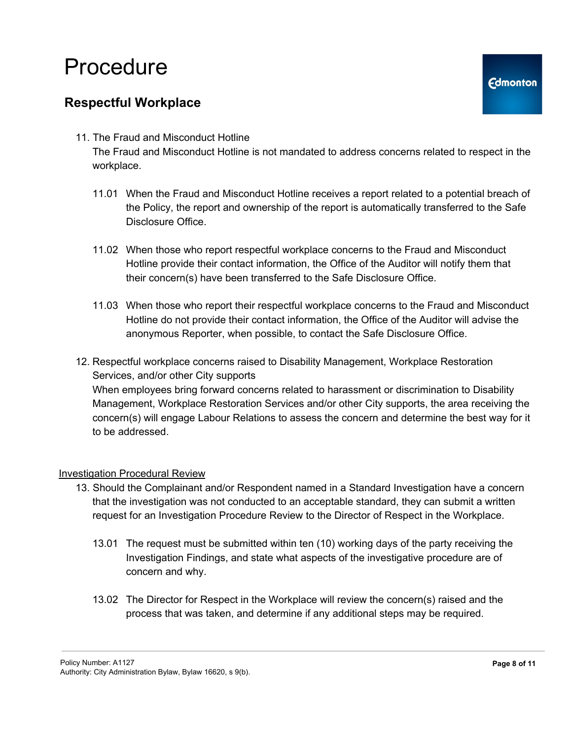### **Respectful Workplace**

11. The Fraud and Misconduct Hotline

The Fraud and Misconduct Hotline is not mandated to address concerns related to respect in the workplace.

- 11.01 When the Fraud and Misconduct Hotline receives a report related to a potential breach of the Policy, the report and ownership of the report is automatically transferred to the Safe Disclosure Office.
- 11.02 When those who report respectful workplace concerns to the Fraud and Misconduct Hotline provide their contact information, the Office of the Auditor will notify them that their concern(s) have been transferred to the Safe Disclosure Office.
- 11.03 When those who report their respectful workplace concerns to the Fraud and Misconduct Hotline do not provide their contact information, the Office of the Auditor will advise the anonymous Reporter, when possible, to contact the Safe Disclosure Office.

12. Respectful workplace concerns raised to Disability Management, Workplace Restoration Services, and/or other City supports When employees bring forward concerns related to harassment or discrimination to Disability Management, Workplace Restoration Services and/or other City supports, the area receiving the concern(s) will engage Labour Relations to assess the concern and determine the best way for it to be addressed.

#### Investigation Procedural Review

- 13. Should the Complainant and/or Respondent named in a Standard Investigation have a concern that the investigation was not conducted to an acceptable standard, they can submit a written request for an Investigation Procedure Review to the Director of Respect in the Workplace.
	- 13.01 The request must be submitted within ten (10) working days of the party receiving the Investigation Findings, and state what aspects of the investigative procedure are of concern and why.
	- 13.02 The Director for Respect in the Workplace will review the concern(s) raised and the process that was taken, and determine if any additional steps may be required.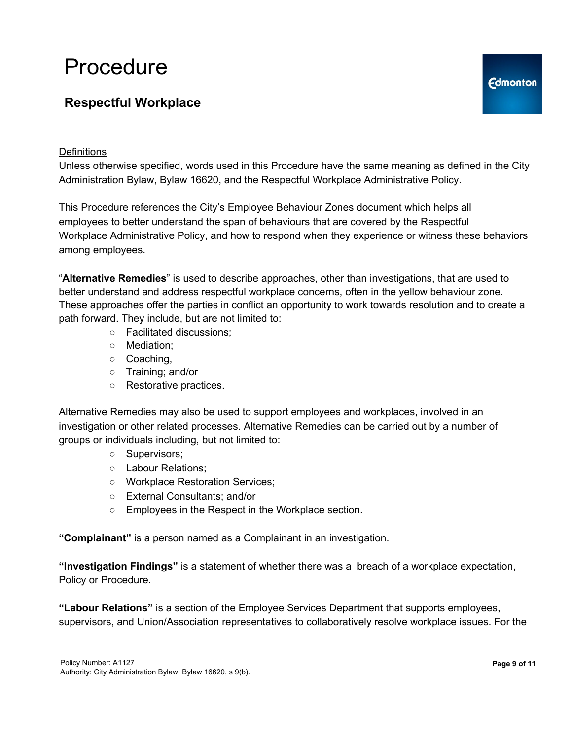### **Respectful Workplace**

#### **Definitions**

Unless otherwise specified, words used in this Procedure have the same meaning as defined in the City Administration Bylaw, Bylaw 16620, and the Respectful Workplace Administrative Policy.

This Procedure references the City's Employee Behaviour Zones document which helps all employees to better understand the span of behaviours that are covered by the Respectful Workplace Administrative Policy, and how to respond when they experience or witness these behaviors among employees.

"**Alternative Remedies**" is used to describe approaches, other than investigations, that are used to better understand and address respectful workplace concerns, often in the yellow behaviour zone. These approaches offer the parties in conflict an opportunity to work towards resolution and to create a path forward. They include, but are not limited to:

- Facilitated discussions;
- Mediation;
- Coaching,
- Training; and/or
- Restorative practices.

Alternative Remedies may also be used to support employees and workplaces, involved in an investigation or other related processes. Alternative Remedies can be carried out by a number of groups or individuals including, but not limited to:

- Supervisors;
- Labour Relations;
- Workplace Restoration Services;
- External Consultants; and/or
- Employees in the Respect in the Workplace section.

**"Complainant"** is a person named as a Complainant in an investigation.

**"Investigation Findings"** is a statement of whether there was a breach of a workplace expectation, Policy or Procedure.

**"Labour Relations"** is a section of the Employee Services Department that supports employees, supervisors, and Union/Association representatives to collaboratively resolve workplace issues. For the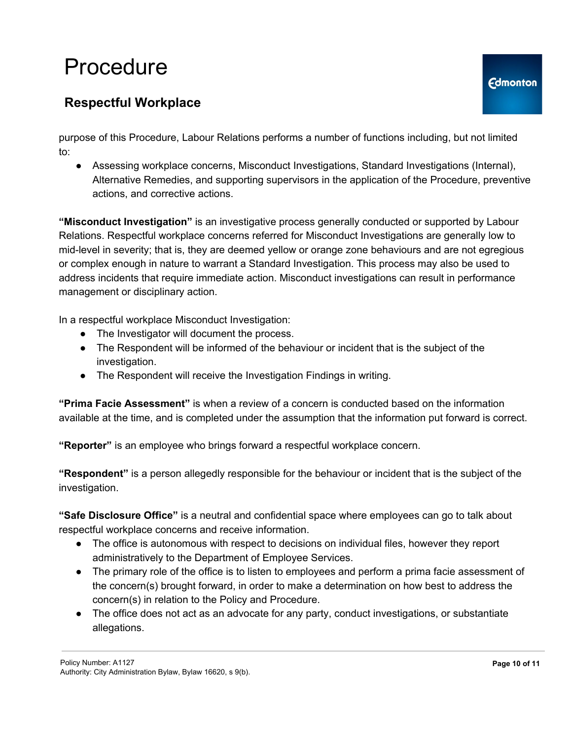### **Respectful Workplace**

purpose of this Procedure, Labour Relations performs a number of functions including, but not limited to:

• Assessing workplace concerns, Misconduct Investigations, Standard Investigations (Internal), Alternative Remedies, and supporting supervisors in the application of the Procedure, preventive actions, and corrective actions.

**"Misconduct Investigation"** is an investigative process generally conducted or supported by Labour Relations. Respectful workplace concerns referred for Misconduct Investigations are generally low to mid-level in severity; that is, they are deemed yellow or orange zone behaviours and are not egregious or complex enough in nature to warrant a Standard Investigation. This process may also be used to address incidents that require immediate action. Misconduct investigations can result in performance management or disciplinary action.

In a respectful workplace Misconduct Investigation:

- The Investigator will document the process.
- The Respondent will be informed of the behaviour or incident that is the subject of the investigation.
- The Respondent will receive the Investigation Findings in writing.

**"Prima Facie Assessment"** is when a review of a concern is conducted based on the information available at the time, and is completed under the assumption that the information put forward is correct.

**"Reporter"** is an employee who brings forward a respectful workplace concern.

**"Respondent"** is a person allegedly responsible for the behaviour or incident that is the subject of the investigation.

**"Safe Disclosure Office"** is a neutral and confidential space where employees can go to talk about respectful workplace concerns and receive information.

- The office is autonomous with respect to decisions on individual files, however they report administratively to the Department of Employee Services.
- The primary role of the office is to listen to employees and perform a prima facie assessment of the concern(s) brought forward, in order to make a determination on how best to address the concern(s) in relation to the Policy and Procedure.
- The office does not act as an advocate for any party, conduct investigations, or substantiate allegations.